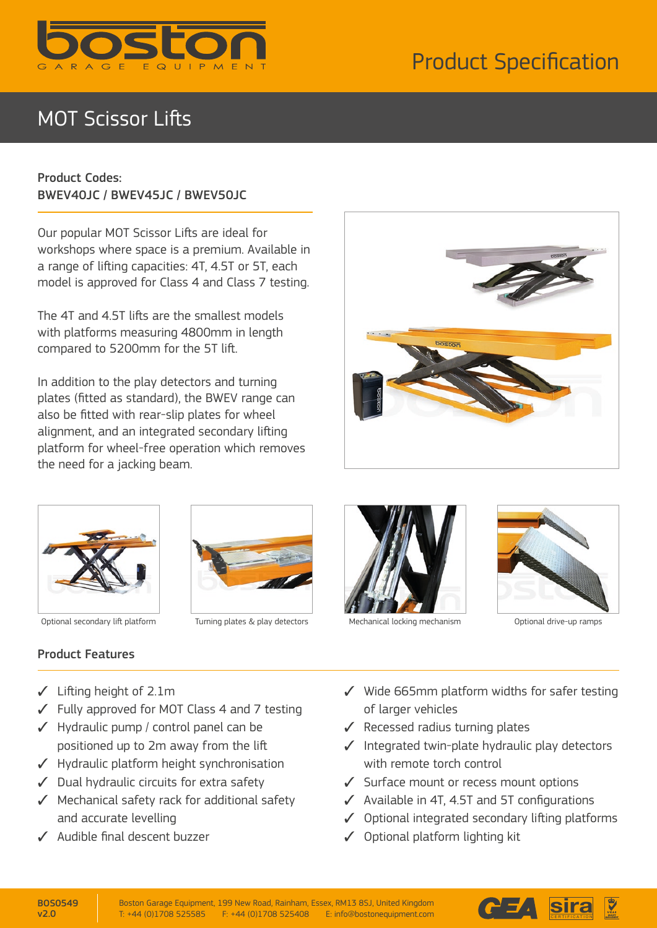

# Product Specification

### MOT Scissor Lifts

### Product Codes: BWEV40JC / BWEV45JC / BWEV50JC

Our popular MOT Scissor Lifts are ideal for workshops where space is a premium. Available in a range of lifting capacities: 4T, 4.5T or 5T, each model is approved for Class 4 and Class 7 testing.

The 4T and 4.5T lifts are the smallest models with platforms measuring 4800mm in length compared to 5200mm for the 5T lift.

In addition to the play detectors and turning plates (fitted as standard), the BWEV range can also be fitted with rear-slip plates for wheel alignment, and an integrated secondary lifting platform for wheel-free operation which removes the need for a jacking beam.





Optional secondary lift platform Turning plates & play detectors Mechanical locking mechanism Optional drive-up ramps







## Product Features

- $\checkmark$  Lifting height of 2.1m
- $\checkmark$  Fully approved for MOT Class 4 and 7 testing
- $\checkmark$  Hydraulic pump / control panel can be positioned up to 2m away from the lift
- $\checkmark$  Hydraulic platform height synchronisation
- $\checkmark$  Dual hydraulic circuits for extra safety
- $\checkmark$  Mechanical safety rack for additional safety and accurate levelling
- Audible final descent buzzer
- $\checkmark$  Wide 665mm platform widths for safer testing of larger vehicles
- $\checkmark$  Recessed radius turning plates
- $\checkmark$  Integrated twin-plate hydraulic play detectors with remote torch control
- Surface mount or recess mount options
- $\checkmark$  Available in 4T, 4.5T and 5T configurations
- $\checkmark$  Optional integrated secondary lifting platforms
- $\checkmark$  Optional platform lighting kit

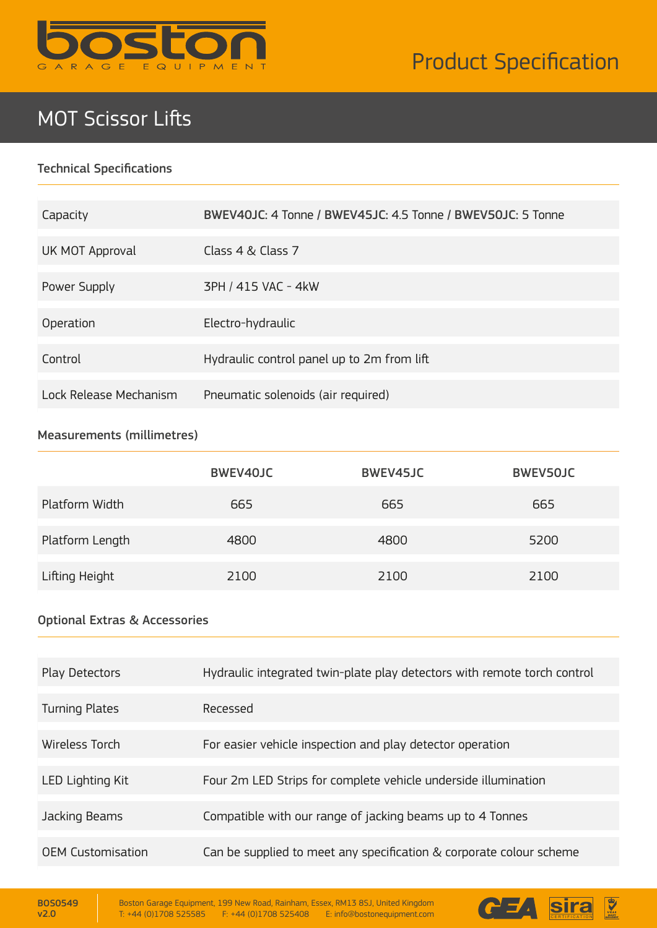

# Product Specification

## MOT Scissor Lifts

### Technical Specifications

| Capacity               | BWEV40JC: 4 Tonne / BWEV45JC: 4.5 Tonne / BWEV50JC: 5 Tonne |
|------------------------|-------------------------------------------------------------|
| UK MOT Approval        | Class 4 & Class 7                                           |
| Power Supply           | 3PH / 415 VAC - 4kW                                         |
| Operation              | Electro-hydraulic                                           |
| Control                | Hydraulic control panel up to 2m from lift                  |
| Lock Release Mechanism | Pneumatic solenoids (air required)                          |

### Measurements (millimetres)

|                 | BWEV40JC | <b>BWEV45JC</b> | <b>BWEV50JC</b> |
|-----------------|----------|-----------------|-----------------|
| Platform Width  | 665      | 665             | 665             |
| Platform Length | 4800     | 4800            | 5200            |
| Lifting Height  | 2100     | 2100            | 2100            |

#### Optional Extras & Accessories

| <b>Play Detectors</b>    | Hydraulic integrated twin-plate play detectors with remote torch control |
|--------------------------|--------------------------------------------------------------------------|
| <b>Turning Plates</b>    | Recessed                                                                 |
| Wireless Torch           | For easier vehicle inspection and play detector operation                |
| LED Lighting Kit         | Four 2m LED Strips for complete vehicle underside illumination           |
| Jacking Beams            | Compatible with our range of jacking beams up to 4 Tonnes                |
| <b>OEM Customisation</b> | Can be supplied to meet any specification & corporate colour scheme      |

BOS0549 v2.0